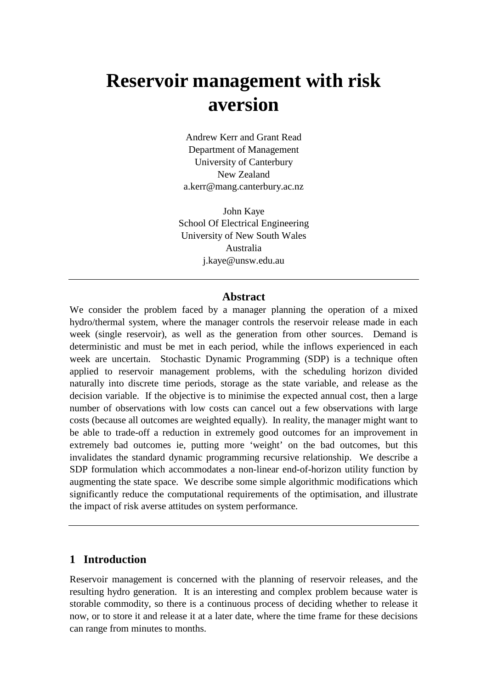# **Reservoir management with risk aversion**

Andrew Kerr and Grant Read Department of Management University of Canterbury New Zealand a.kerr@mang.canterbury.ac.nz

John Kaye School Of Electrical Engineering University of New South Wales Australia j.kaye@unsw.edu.au

#### **Abstract**

We consider the problem faced by a manager planning the operation of a mixed hydro/thermal system, where the manager controls the reservoir release made in each week (single reservoir), as well as the generation from other sources. Demand is deterministic and must be met in each period, while the inflows experienced in each week are uncertain. Stochastic Dynamic Programming (SDP) is a technique often applied to reservoir management problems, with the scheduling horizon divided naturally into discrete time periods, storage as the state variable, and release as the decision variable. If the objective is to minimise the expected annual cost, then a large number of observations with low costs can cancel out a few observations with large costs (because all outcomes are weighted equally). In reality, the manager might want to be able to trade-off a reduction in extremely good outcomes for an improvement in extremely bad outcomes ie, putting more 'weight' on the bad outcomes, but this invalidates the standard dynamic programming recursive relationship. We describe a SDP formulation which accommodates a non-linear end-of-horizon utility function by augmenting the state space. We describe some simple algorithmic modifications which significantly reduce the computational requirements of the optimisation, and illustrate the impact of risk averse attitudes on system performance.

## **1 Introduction**

Reservoir management is concerned with the planning of reservoir releases, and the resulting hydro generation. It is an interesting and complex problem because water is storable commodity, so there is a continuous process of deciding whether to release it now, or to store it and release it at a later date, where the time frame for these decisions can range from minutes to months.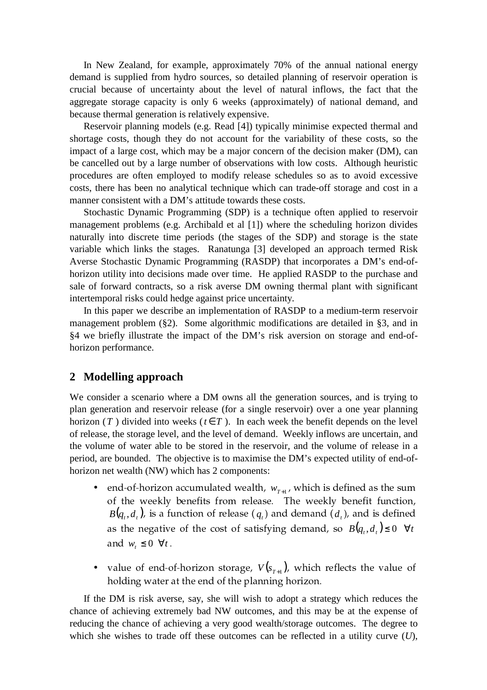In New Zealand, for example, approximately 70% of the annual national energy demand is supplied from hydro sources, so detailed planning of reservoir operation is crucial because of uncertainty about the level of natural inflows, the fact that the aggregate storage capacity is only 6 weeks (approximately) of national demand, and because thermal generation is relatively expensive.

Reservoir planning models (e.g. Read [4]) typically minimise expected thermal and shortage costs, though they do not account for the variability of these costs, so the impact of a large cost, which may be a major concern of the decision maker (DM), can be cancelled out by a large number of observations with low costs. Although heuristic procedures are often employed to modify release schedules so as to avoid excessive costs, there has been no analytical technique which can trade-off storage and cost in a manner consistent with a DM's attitude towards these costs.

Stochastic Dynamic Programming (SDP) is a technique often applied to reservoir management problems (e.g. Archibald et al [1]) where the scheduling horizon divides naturally into discrete time periods (the stages of the SDP) and storage is the state variable which links the stages. Ranatunga [3] developed an approach termed Risk Averse Stochastic Dynamic Programming (RASDP) that incorporates a DM's end-ofhorizon utility into decisions made over time. He applied RASDP to the purchase and sale of forward contracts, so a risk averse DM owning thermal plant with significant intertemporal risks could hedge against price uncertainty.

In this paper we describe an implementation of RASDP to a medium-term reservoir management problem (§2). Some algorithmic modifications are detailed in §3, and in §4 we briefly illustrate the impact of the DM's risk aversion on storage and end-ofhorizon performance.

## **2 Modelling approach**

We consider a scenario where a DM owns all the generation sources, and is trying to plan generation and reservoir release (for a single reservoir) over a one year planning horizon (*T*) divided into weeks ( $t \in T$ ). In each week the benefit depends on the level of release, the storage level, and the level of demand. Weekly inflows are uncertain, and the volume of water able to be stored in the reservoir, and the volume of release in a period, are bounded. The objective is to maximise the DM's expected utility of end-ofhorizon net wealth (NW) which has 2 components:

- end-of-horizon accumulated wealth,  $w_{T+1}$ , which is defined as the sum of the successive legacity through wolcogo, the succeive legacity through the state of the state of the state of the state of the state of the state of the state of the state of the state of the state of the state of the s  $B(q_{_t}, d_{_t})$ , is a function of release  $(q_{_t})$  and demand  $(d_{_t})$ , and is defined as the negative of the cost of satisfying demand, so  $B(q_{_t},d_{_t}){\leq}$  0  $\forall t$ and  $w_t \leq 0 \ \forall t$ .
- $\bullet$  -value of end-of-horizon storage*, V*( $s_{_{T+1}}$ ), which reflects the value of is a laissa a viva bossa bis a gosail a bha an lassacha a la assanta an i

If the DM is risk averse, say, she will wish to adopt a strategy which reduces the chance of achieving extremely bad NW outcomes, and this may be at the expense of reducing the chance of achieving a very good wealth/storage outcomes. The degree to which she wishes to trade off these outcomes can be reflected in a utility curve (*U*),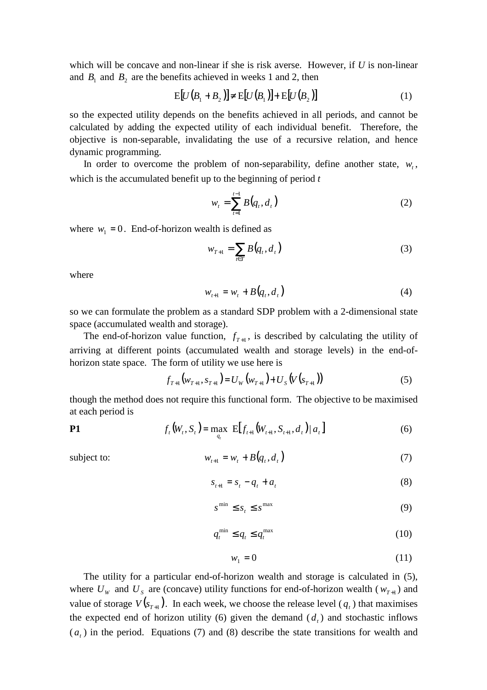which will be concave and non-linear if she is risk averse. However, if *U* is non-linear and  $B_1$  and  $B_2$  are the benefits achieved in weeks 1 and 2, then

$$
E[U(B1 + B2)] \neq E[U(B1)] + E[U(B2)]
$$
\n(1)

so the expected utility depends on the benefits achieved in all periods, and cannot be calculated by adding the expected utility of each individual benefit. Therefore, the objective is non-separable, invalidating the use of a recursive relation, and hence dynamic programming.

In order to overcome the problem of non-separability, define another state,  $w_t$ , which is the accumulated benefit up to the beginning of period *t*

$$
w_t = \sum_{t=1}^{t-1} B(q_t, d_t)
$$
 (2)

where  $w_1 = 0$ . End-of-horizon wealth is defined as

$$
w_{T+1} = \sum_{t \in T} B(q_t, d_t)
$$
 (3)

where

$$
w_{t+1} = w_t + B(q_t, d_t)
$$
 (4)

so we can formulate the problem as a standard SDP problem with a 2-dimensional state space (accumulated wealth and storage).

The end-of-horizon value function,  $f_{T+1}$ , is described by calculating the utility of arriving at different points (accumulated wealth and storage levels) in the end-ofhorizon state space. The form of utility we use here is

$$
f_{T+1}(w_{T+1}, s_{T+1}) = U_W(w_{T+1}) + U_S(V(s_{T+1}))
$$
\n(5)

though the method does not require this functional form. The objective to be maximised at each period is

$$
P1 \t ft(Wt, St) = \max_{qt} E[ft+1(Wt+1, St+1, dt) | at]
$$
(6)

subject to:  $W_{t+1}$ 

$$
w_{t+1} = w_t + B(q_t, d_t)
$$
 (7)

$$
s_{t+1} = s_t - q_t + a_t \tag{8}
$$

$$
s^{\min} \le s_t \le s^{\max} \tag{9}
$$

$$
q_t^{\min} \le q_t \le q_t^{\max} \tag{10}
$$

$$
w_1 = 0 \tag{11}
$$

The utility for a particular end-of-horizon wealth and storage is calculated in (5), where  $U_W$  and  $U_S$  are (concave) utility functions for end-of-horizon wealth ( $W_{T+1}$ ) and value of storage  $V(s_{T+1})$ . In each week, we choose the release level  $(q_t)$  that maximises the expected end of horizon utility (6) given the demand  $(d_t)$  and stochastic inflows  $(a<sub>t</sub>)$  in the period. Equations (7) and (8) describe the state transitions for wealth and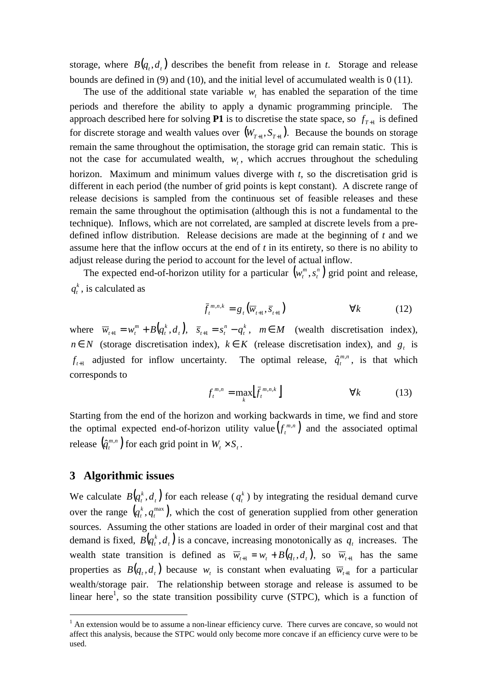storage, where  $B(q_t, d_t)$  describes the benefit from release in *t*. Storage and release bounds are defined in (9) and (10), and the initial level of accumulated wealth is 0 (11).

The use of the additional state variable  $w_t$  has enabled the separation of the time periods and therefore the ability to apply a dynamic programming principle. The approach described here for solving **P1** is to discretise the state space, so  $f_{T+1}$  is defined for discrete storage and wealth values over  $(W_{T+1}, S_{T+1})$ . Because the bounds on storage remain the same throughout the optimisation, the storage grid can remain static. This is not the case for accumulated wealth,  $w_t$ , which accrues throughout the scheduling horizon. Maximum and minimum values diverge with *t*, so the discretisation grid is different in each period (the number of grid points is kept constant). A discrete range of release decisions is sampled from the continuous set of feasible releases and these remain the same throughout the optimisation (although this is not a fundamental to the technique). Inflows, which are not correlated, are sampled at discrete levels from a predefined inflow distribution. Release decisions are made at the beginning of *t* and we assume here that the inflow occurs at the end of *t* in its entirety, so there is no ability to adjust release during the period to account for the level of actual inflow.

The expected end-of-horizon utility for a particular  $(w_i^m, s_i^n)$ *t*  $w_t^m$ ,  $s_t^n$ ) grid point and release, *k*  $q_t^k$ , is calculated as

$$
\bar{f}_t^{m,n,k} = g_t(\overline{w}_{t+1}, \overline{s}_{t+1}) \qquad \forall k \qquad (12)
$$

where  $\overline{w}_{t+1} = w_t^m + B(q_t^k, d_t)$ *t*  $\overline{W}_{t+1} = W_t^m + B(q_t^k, d_t), \quad \overline{s}_{t+1} = s_t^n - q_t^k$ *t n*  $\overline{s}_{t+1} = s_t^n - q_t^k$ ,  $m \in M$  (wealth discretisation index), *n* ∈ *N* (storage discretisation index),  $k \in K$  (release discretisation index), and  $g_t$  is  $f_{t+1}$  adjusted for inflow uncertainty. The optimal release,  $\hat{q}_t^{m,n}$  $\hat{q}^{m,n}_{t}$ , is that which corresponds to

$$
f_t^{m,n} = \max_k [\bar{f}_t^{m,n,k}] \qquad \forall k \qquad (13)
$$

Starting from the end of the horizon and working backwards in time, we find and store the optimal expected end-of-horizon utility value  $(f_i^{m,n})$  $f_t^{m,n}$ ) and the associated optimal release  $\left(\hat{q}_{t}^{\tiny \hspace{0.02cm}m,n}\right)$  $\hat{q}^{m,n}_{t}$  for each grid point in  $W_{t} \times S_{t}$ .

## **3 Algorithmic issues**

 $\overline{a}$ 

We calculate  $B(q_t^k, d_t)$  for each release ( $q_t^k$  $q_t^k$ ) by integrating the residual demand curve over the range  $(q_t^k, q_t^{\max})$ *k*  $q_t^k$ ,  $q_t^{\max}$ ), which the cost of generation supplied from other generation sources. Assuming the other stations are loaded in order of their marginal cost and that demand is fixed,  $B(q_t^k, d_t)$  is a concave, increasing monotonically as  $q_t$  increases. The wealth state transition is defined as  $\overline{w}_{t+1} = w_t + B(q_t, d_t)$ , so  $\overline{w}_{t+1}$  has the same properties as  $B(q_t, d_t)$  because  $w_t$  is constant when evaluating  $\overline{w}_{t+1}$  for a particular wealth/storage pair. The relationship between storage and release is assumed to be linear here<sup>1</sup>, so the state transition possibility curve (STPC), which is a function of

 $<sup>1</sup>$  An extension would be to assume a non-linear efficiency curve. There curves are concave, so would not</sup> affect this analysis, because the STPC would only become more concave if an efficiency curve were to be used.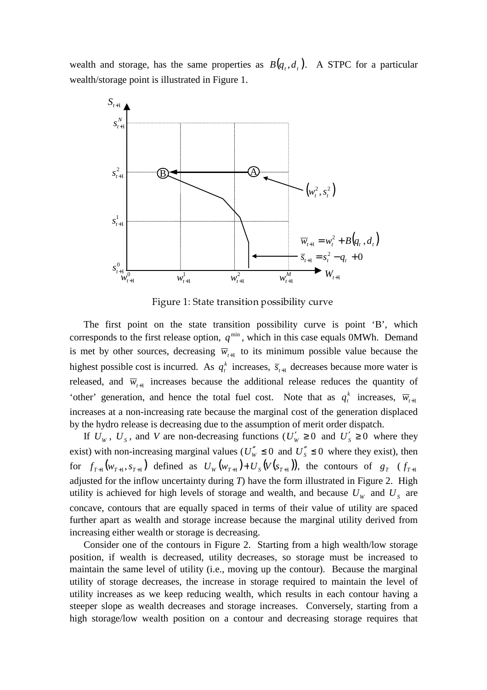wealth and storage, has the same properties as  $B(q_t, d_t)$ . A STPC for a particular wealth/storage point is illustrated in Figure 1.



 $\Gamma^{\prime}$  and  $\Lambda$ , Chaba because the second side of  $\Lambda$ 

The first point on the state transition possibility curve is point 'B', which corresponds to the first release option,  $q^{\text{min}}$ , which in this case equals 0MWh. Demand is met by other sources, decreasing  $\overline{w}_{t+1}$  to its minimum possible value because the highest possible cost is incurred. As  $q_t^k$  $q_t^k$  increases,  $\bar{s}_{t+1}$  decreases because more water is released, and  $\overline{w}_{t+1}$  increases because the additional release reduces the quantity of 'other' generation, and hence the total fuel cost. Note that as  $q_t^k$  $q_t^k$  increases,  $\overline{w}_{t+1}$ increases at a non-increasing rate because the marginal cost of the generation displaced by the hydro release is decreasing due to the assumption of merit order dispatch.

If  $U_w$ ,  $U_s$ , and *V* are non-decreasing functions ( $U'_w \ge 0$  and  $U'_s \ge 0$  where they exist) with non-increasing marginal values ( $U''_w \le 0$  and  $U''_s \le 0$  where they exist), then for  $f_{T+1}(w_{T+1}, s_{T+1})$  defined as  $U_W(w_{T+1}) + U_S(V(s_{T+1}))$ , the contours of  $g_T$   $(f_{T+1})$ adjusted for the inflow uncertainty during *T*) have the form illustrated in Figure 2. High utility is achieved for high levels of storage and wealth, and because  $U<sub>w</sub>$  and  $U<sub>S</sub>$  are concave, contours that are equally spaced in terms of their value of utility are spaced further apart as wealth and storage increase because the marginal utility derived from increasing either wealth or storage is decreasing.

Consider one of the contours in Figure 2. Starting from a high wealth/low storage position, if wealth is decreased, utility decreases, so storage must be increased to maintain the same level of utility (i.e., moving up the contour). Because the marginal utility of storage decreases, the increase in storage required to maintain the level of utility increases as we keep reducing wealth, which results in each contour having a steeper slope as wealth decreases and storage increases. Conversely, starting from a high storage/low wealth position on a contour and decreasing storage requires that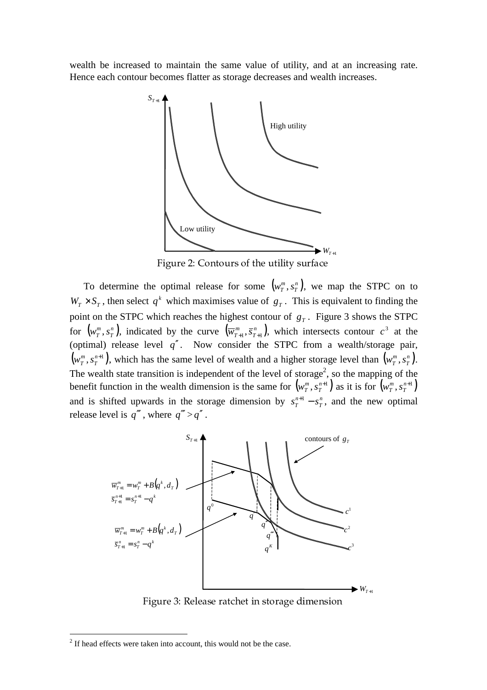wealth be increased to maintain the same value of utility, and at an increasing rate. Hence each contour becomes flatter as storage decreases and wealth increases.



 $\Gamma$  and  $\Omega$ ,  $\Gamma$  antoning of the utility quality

To determine the optimal release for some  $(w^m_T, s^n_T)$ *T*  $w_T^m, s_T^n$ , we map the STPC on to  $W_T \times S_T$ , then select  $q^k$  which maximises value of  $g_T$ . This is equivalent to finding the point on the STPC which reaches the highest contour of *g<sup>T</sup>* . Figure 3 shows the STPC for  $\left( w_{T}^{m},s_{T}^{n}\right)$ *T*  $(w_T^m, s_T^n)$ , indicated by the curve  $(\overline{w}_{T+1}^m, \overline{s}_{T+1}^n)$ *T*  $\overline{w}_{T+1}^m$ ,  $\overline{s}_{T+1}^n$ , which intersects contour  $c^3$  at the (optimal) release level *q*′′. Now consider the STPC from a wealth/storage pair,  $\left( \overline{{W}_T^m},\overline{{S}_T^{n+1}}\,\right)$ *T*  $(w_T^m, s_T^{n+1})$ , which has the same level of wealth and a higher storage level than  $(w_T^m, s_T^n)$ *T*  $w_T^m, s_T^n$ ). The wealth state transition is independent of the level of storage<sup>2</sup>, so the mapping of the benefit function in the wealth dimension is the same for  $(w_{T}^{m}, s_{T}^{n+1})$ *T*  $\left(w^m_T, s^{n+1}_T\right)$  as it is for  $\left(w^m_T, s^{n+1}_T\right)$ *T*  $w_T^m$ , *s* and is shifted upwards in the storage dimension by  $s_T^{n+1} - s_T^n$ *T n*  $s_T^{n+1} - s_T^n$ , and the new optimal release level is  $q''$ , where  $q'' > q''$ .



 $\Gamma$  and  $\Omega$ . Delegge ustaket in stems as dimension

 $\overline{a}$ 

 $2<sup>2</sup>$  If head effects were taken into account, this would not be the case.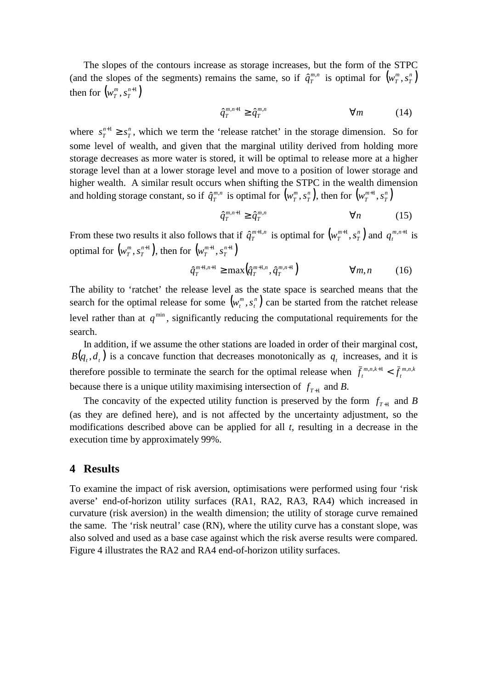The slopes of the contours increase as storage increases, but the form of the STPC (and the slopes of the segments) remains the same, so if  $\hat{q}_T^{m,n}$  is optimal for  $(w_T^m, s_T^n)$ *T*  $w_T^m$ , *s* then for  $(w_T^m, s_T^{n+1})$ *T*  $w_T^m$ , *s* 

$$
\hat{q}_T^{m,n+1} \ge \hat{q}_T^{m,n} \qquad \qquad \forall m \qquad (14)
$$

where  $s_T^{n+1} \geq s_T^n$ *T n*  $s_T^{n+1} \geq s_T^n$ , which we term the 'release ratchet' in the storage dimension. So for some level of wealth, and given that the marginal utility derived from holding more storage decreases as more water is stored, it will be optimal to release more at a higher storage level than at a lower storage level and move to a position of lower storage and higher wealth. A similar result occurs when shifting the STPC in the wealth dimension and holding storage constant, so if  $\hat{q}_{T}^{\scriptscriptstyle{m,n}}$  is optimal for  $\left(w_{T}^{\scriptscriptstyle{m}},s_{T}^{\scriptscriptstyle{n}}\right)$ *T*  $\left(w_T^m,s_T^n\right)$ , then for  $\left(w_T^{m+1},s_T^n\right)$ *T*  $w_T^{m+1}, s$ 

$$
\hat{q}_T^{m,n+1} \ge \hat{q}_T^{m,n} \qquad \qquad \forall n \qquad (15)
$$

From these two results it also follows that if  $\hat{q}_{T}^{\scriptscriptstyle{m+1,n}}$  is optimal for  $\left(w_{T}^{\scriptscriptstyle{m+1}},s_{T}^{\scriptscriptstyle{n}}\right)$ *T*  $w_T^{m+1}, s_T^n$  and  $q_t^{m,n+1}$  $q_t^{m,n+1}$  is optimal for  $(w_T^m, s_T^{n+1})$ *T*  $\left(w_T^m,s_T^{n+1}\right)$ , then for  $\left(w_T^{m+1},s_T^{n+1}\right)$ *T*  $w_T^{m+1}, s$ 

$$
\hat{q}_T^{m+1,n+1} \ge \max\left(\hat{q}_T^{m+1,n}, \hat{q}_T^{m,n+1}\right) \qquad \qquad \forall m, n \qquad (16)
$$

The ability to 'ratchet' the release level as the state space is searched means that the search for the optimal release for some  $(w_i^m, s_i^n)$ *t*  $w_t^m$ ,  $s_t^n$ ) can be started from the ratchet release level rather than at  $q^{\text{min}}$ , significantly reducing the computational requirements for the search.

In addition, if we assume the other stations are loaded in order of their marginal cost,  $B(q_t, d_t)$  is a concave function that decreases monotonically as  $q_t$  increases, and it is therefore possible to terminate the search for the optimal release when  $\bar{f}_t^{m,n,k+1} < \bar{f}_t^{m,n,k}$ *t m n k*  $\bar{f}^{m,n,k+1}_{t} < \bar{f}^{m,n}_{t}$ because there is a unique utility maximising intersection of  $f_{T+1}$  and *B*.

The concavity of the expected utility function is preserved by the form  $f_{T+1}$  and *B* (as they are defined here), and is not affected by the uncertainty adjustment, so the modifications described above can be applied for all *t*, resulting in a decrease in the execution time by approximately 99%.

#### **4 Results**

To examine the impact of risk aversion, optimisations were performed using four 'risk averse' end-of-horizon utility surfaces (RA1, RA2, RA3, RA4) which increased in curvature (risk aversion) in the wealth dimension; the utility of storage curve remained the same. The 'risk neutral' case (RN), where the utility curve has a constant slope, was also solved and used as a base case against which the risk averse results were compared. Figure 4 illustrates the RA2 and RA4 end-of-horizon utility surfaces.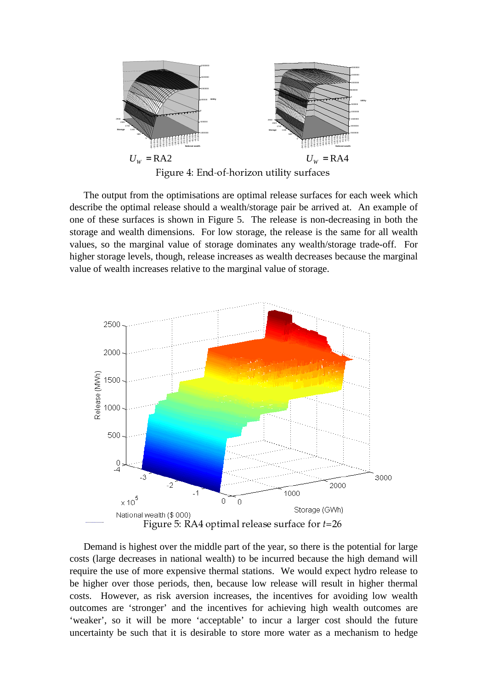

The output from the optimisations are optimal release surfaces for each week which describe the optimal release should a wealth/storage pair be arrived at. An example of one of these surfaces is shown in Figure 5. The release is non-decreasing in both the storage and wealth dimensions. For low storage, the release is the same for all wealth values, so the marginal value of storage dominates any wealth/storage trade-off. For higher storage levels, though, release increases as wealth decreases because the marginal value of wealth increases relative to the marginal value of storage.



Demand is highest over the middle part of the year, so there is the potential for large costs (large decreases in national wealth) to be incurred because the high demand will require the use of more expensive thermal stations. We would expect hydro release to be higher over those periods, then, because low release will result in higher thermal costs. However, as risk aversion increases, the incentives for avoiding low wealth outcomes are 'stronger' and the incentives for achieving high wealth outcomes are 'weaker', so it will be more 'acceptable' to incur a larger cost should the future uncertainty be such that it is desirable to store more water as a mechanism to hedge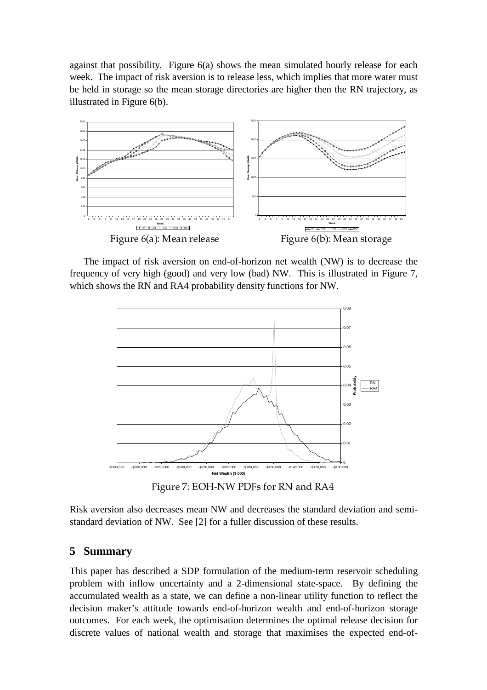against that possibility. Figure 6(a) shows the mean simulated hourly release for each week. The impact of risk aversion is to release less, which implies that more water must be held in storage so the mean storage directories are higher then the RN trajectory, as illustrated in Figure 6(b).



The impact of risk aversion on end-of-horizon net wealth (NW) is to decrease the frequency of very high (good) and very low (bad) NW. This is illustrated in Figure 7, which shows the RN and RA4 probability density functions for NW.



 $\Gamma_{\text{2}}^{1}$   $\approx$   $\mu_{\text{2}}$   $\eta$ . Four NIMI DDEs for DNI and DAI

Risk aversion also decreases mean NW and decreases the standard deviation and semistandard deviation of NW. See [2] for a fuller discussion of these results.

## **5 Summary**

This paper has described a SDP formulation of the medium-term reservoir scheduling problem with inflow uncertainty and a 2-dimensional state-space. By defining the accumulated wealth as a state, we can define a non-linear utility function to reflect the decision maker's attitude towards end-of-horizon wealth and end-of-horizon storage outcomes. For each week, the optimisation determines the optimal release decision for discrete values of national wealth and storage that maximises the expected end-of